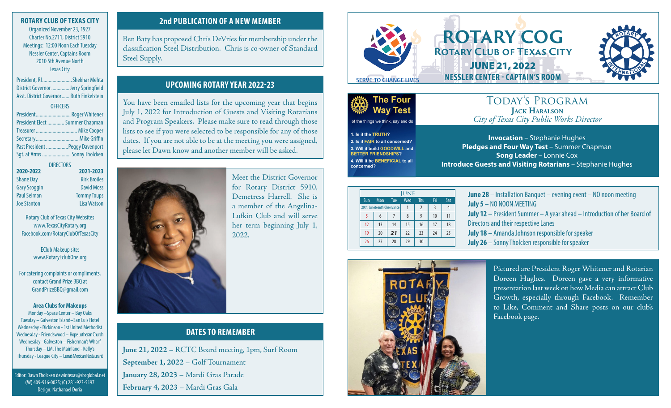## **ROTARY CLUB OF TEXAS CITY**

Organized November 23, 1927 Charter No.2711, District 5910 Meetings: 12:00 Noon Each Tuesday Nessler Center, Captains Room 2010 5th Avenue North Texas City

President, RI.......................Shekhar Mehta District Governor..............Jerry Springfield Asst. District Governor...... Ruth Finkelstein

## **OFFICERS** President........................... Roger Whitener

| President Elect  Summer Chapman |  |
|---------------------------------|--|
|                                 |  |
|                                 |  |
| Past President  Peggy Davenport |  |
| Sqt. at Arms  Sonny Tholcken    |  |
|                                 |  |

| <b>DIRECTORS</b> |                     |
|------------------|---------------------|
|                  | 2021-2023           |
|                  | <b>Kirk Broiles</b> |
|                  | <b>David Moss</b>   |
|                  | <b>Tommy Toups</b>  |
|                  | <b>Lisa Watson</b>  |
|                  |                     |

Rotary Club of Texas City Websites www.TexasCityRotary.org Facebook.com/RotaryClubOfTexasCity

> EClub Makeup site: www.RotaryEclubOne.org

For catering complaints or compliments, contact Grand Prize BBQ at GrandPrizeBBQ@gmail.com

### **Area Clubs for Makeups** Monday –Space Center – Bay Oaks Tuesday – Galveston Island–San Luis Hotel

Wednesday - Dickinson - 1st United Methodist Wednesday - Friendswood – Hope Lutheran Church Wednesday - Galveston – Fisherman's Wharf Thursday – LM, The Mainland - Kelly's Thursday - League City – Luna's Mexican Restaurant

Editor: Dawn Tholcken dewintexas@sbcglobal.net (W) 409-916-0025; (C) 281-923-5197 Design: Nathanael Doria

## **2nd PUBLICATION OF A NEW MEMBER**

Ben Baty has proposed Chris DeVries for membership under the classification Steel Distribution. Chris is co-owner of Standard Steel Supply.

## **UPCOMING ROTARY YEAR 2022-23**

You have been emailed lists for the upcoming year that begins July 1, 2022 for Introduction of Guests and Visiting Rotarians and Program Speakers. Please make sure to read through those lists to see if you were selected to be responsible for any of those dates. If you are not able to be at the meeting you were assigned, please let Dawn know and another member will be asked.



Meet the District Governor for Rotary District 5910, Demetress Harrell. She is a member of the Angelina-Lufkin Club and will serve her term beginning July 1, 2022.

## **DATES TO REMEMBER**

**June 21, 2022** – RCTC Board meeting, 1pm, Surf Room **September 1, 2022** – Golf Tournament **January 28, 2023** – Mardi Gras Parade **February 4, 2023** – Mardi Gras Gala



## **ROTARY COG Rotary Club of Texas City** JUNE 21, 2022 **NESSLER CENTER - CAPTAIN'S ROOM**





of the things we think, say and do

1. Is it the TRUTH? 2. Is it FAIR to all concerned? 3. Will it build GOODWILL and **BETTER FRIENDSHIPS?** 4. Will it be BENEFICIAL to all concerned?

## Today's Program **Jack Haralson** *City of Texas City Public Works Director*

**Invocation** – Stephanie Hughes **Pledges and Four Way Test** – Summer Chapman **Song Leader** – Lonnie Cox **Introduce Guests and Visiting Rotarians** – Stephanie Hughes

| <b>UNE</b> |                             |            |     |                |     |     |
|------------|-----------------------------|------------|-----|----------------|-----|-----|
| Sun        | Mon                         | <b>Tue</b> | Wed | Thu            | Fri | Sat |
|            | 20th: Juneteenth Observance |            |     | $\overline{2}$ | २   |     |
|            | 6                           |            | 8   | q              | 10  | 11  |
| 12         | 13                          | 14         | 15  | 16             | 17  | 18  |
| 19         | 20                          | 21         | 22  | 23             | 24  | 25  |
| 26         | 27                          | 28         | 29  | 30             |     |     |

**June 28** – Installation Banquet – evening event – NO noon meeting **July 5** – NO NOON MEETING **July 12** – President Summer – A year ahead – Introduction of her Board of Directors and their respective Lanes **July 18** – Amanda Johnson responsible for speaker **July 26** – Sonny Tholcken responsible for speaker



Pictured are President Roger Whitener and Rotarian Doreen Hughes. Doreen gave a very informative presentation last week on how Media can attract Club Growth, especially through Facebook. Remember to Like, Comment and Share posts on our club's Facebook page.